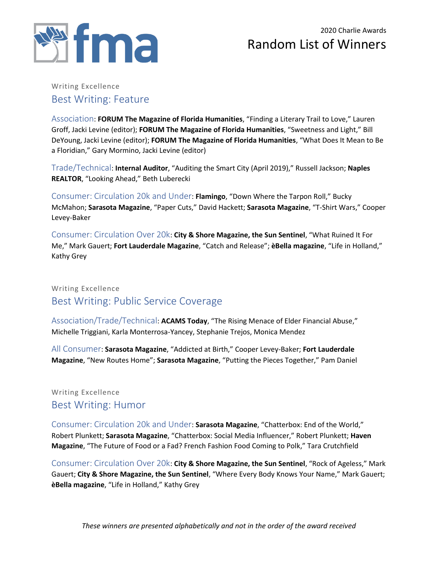

#### Writing Excellence Best Writing: Feature

Association: **FORUM The Magazine of Florida Humanities**, "Finding a Literary Trail to Love," Lauren Groff, Jacki Levine (editor); **FORUM The Magazine of Florida Humanities**, "Sweetness and Light," Bill DeYoung, Jacki Levine (editor); **FORUM The Magazine of Florida Humanities**, "What Does It Mean to Be a Floridian," Gary Mormino, Jacki Levine (editor)

Trade/Technical: **Internal Auditor**, "Auditing the Smart City (April 2019)," Russell Jackson; **Naples REALTOR**, "Looking Ahead," Beth Luberecki

Consumer: Circulation 20k and Under: **Flamingo**, "Down Where the Tarpon Roll," Bucky McMahon; **Sarasota Magazine**, "Paper Cuts," David Hackett; **Sarasota Magazine**, "T-Shirt Wars," Cooper Levey-Baker

Consumer: Circulation Over 20k: **City & Shore Magazine, the Sun Sentinel**, "What Ruined It For Me," Mark Gauert; **Fort Lauderdale Magazine**, "Catch and Release"; **èBella magazine**, "Life in Holland," Kathy Grey

### Writing Excellence Best Writing: Public Service Coverage

Association/Trade/Technical: **ACAMS Today**, "The Rising Menace of Elder Financial Abuse," Michelle Triggiani, Karla Monterrosa-Yancey, Stephanie Trejos, Monica Mendez

All Consumer: **Sarasota Magazine**, "Addicted at Birth," Cooper Levey-Baker; **Fort Lauderdale Magazine**, "New Routes Home"; **Sarasota Magazine**, "Putting the Pieces Together," Pam Daniel

#### Writing Excellence Best Writing: Humor

Consumer: Circulation 20k and Under: **Sarasota Magazine**, "Chatterbox: End of the World," Robert Plunkett; **Sarasota Magazine**, "Chatterbox: Social Media Influencer," Robert Plunkett; **Haven Magazine**, "The Future of Food or a Fad? French Fashion Food Coming to Polk," Tara Crutchfield

Consumer: Circulation Over 20k: **City & Shore Magazine, the Sun Sentinel**, "Rock of Ageless," Mark Gauert; **City & Shore Magazine, the Sun Sentinel**, "Where Every Body Knows Your Name," Mark Gauert; **èBella magazine**, "Life in Holland," Kathy Grey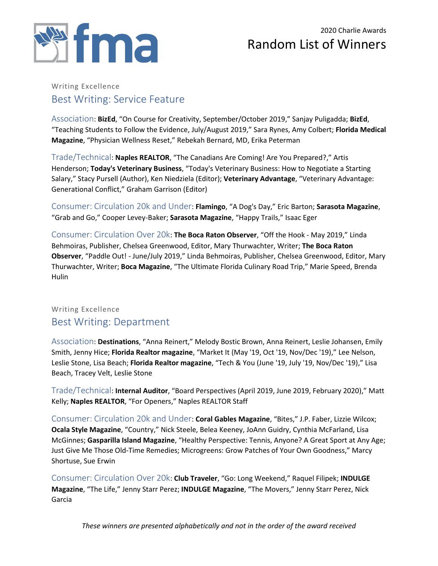

#### Writing Excellence Best Writing: Service Feature

Association: **BizEd**, "On Course for Creativity, September/October 2019," Sanjay Puligadda; **BizEd**, "Teaching Students to Follow the Evidence, July/August 2019," Sara Rynes, Amy Colbert; **Florida Medical Magazine**, "Physician Wellness Reset," Rebekah Bernard, MD, Erika Peterman

Trade/Technical: **Naples REALTOR**, "The Canadians Are Coming! Are You Prepared?," Artis Henderson; **Today's Veterinary Business**, "Today's Veterinary Business: How to Negotiate a Starting Salary," Stacy Pursell (Author), Ken Niedziela (Editor); **Veterinary Advantage**, "Veterinary Advantage: Generational Conflict," Graham Garrison (Editor)

Consumer: Circulation 20k and Under: **Flamingo**, "A Dog's Day," Eric Barton; **Sarasota Magazine**, "Grab and Go," Cooper Levey-Baker; **Sarasota Magazine**, "Happy Trails," Isaac Eger

Consumer: Circulation Over 20k: **The Boca Raton Observer**, "Off the Hook - May 2019," Linda Behmoiras, Publisher, Chelsea Greenwood, Editor, Mary Thurwachter, Writer; **The Boca Raton Observer**, "Paddle Out! - June/July 2019," Linda Behmoiras, Publisher, Chelsea Greenwood, Editor, Mary Thurwachter, Writer; **Boca Magazine**, "The Ultimate Florida Culinary Road Trip," Marie Speed, Brenda Hulin

#### Writing Excellence Best Writing: Department

Association: **Destinations**, "Anna Reinert," Melody Bostic Brown, Anna Reinert, Leslie Johansen, Emily Smith, Jenny Hice; **Florida Realtor magazine**, "Market It (May '19, Oct '19, Nov/Dec '19)," Lee Nelson, Leslie Stone, Lisa Beach; **Florida Realtor magazine**, "Tech & You (June '19, July '19, Nov/Dec '19)," Lisa Beach, Tracey Velt, Leslie Stone

Trade/Technical: **Internal Auditor**, "Board Perspectives (April 2019, June 2019, February 2020)," Matt Kelly; **Naples REALTOR**, "For Openers," Naples REALTOR Staff

Consumer: Circulation 20k and Under: **Coral Gables Magazine**, "Bites," J.P. Faber, Lizzie Wilcox; **Ocala Style Magazine**, "Country," Nick Steele, Belea Keeney, JoAnn Guidry, Cynthia McFarland, Lisa McGinnes; **Gasparilla Island Magazine**, "Healthy Perspective: Tennis, Anyone? A Great Sport at Any Age; Just Give Me Those Old-Time Remedies; Microgreens: Grow Patches of Your Own Goodness," Marcy Shortuse, Sue Erwin

Consumer: Circulation Over 20k: **Club Traveler**, "Go: Long Weekend," Raquel Filipek; **INDULGE Magazine**, "The Life," Jenny Starr Perez; **INDULGE Magazine**, "The Movers," Jenny Starr Perez, Nick Garcia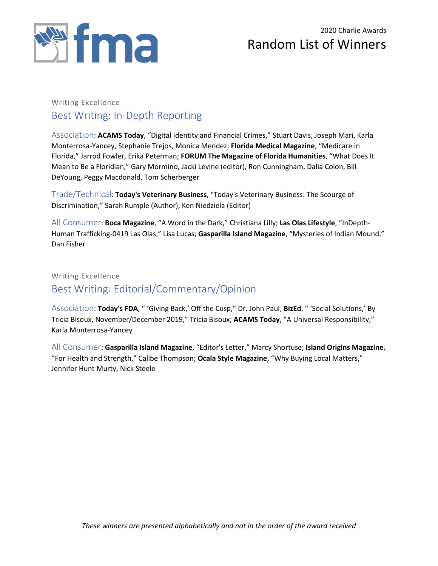

#### Writing Excellence Best Writing: In-Depth Reporting

Association: **ACAMS Today**, "Digital Identity and Financial Crimes," Stuart Davis, Joseph Mari, Karla Monterrosa-Yancey, Stephanie Trejos, Monica Mendez; **Florida Medical Magazine**, "Medicare in Florida," Jarrod Fowler, Erika Peterman; **FORUM The Magazine of Florida Humanities**, "What Does It Mean to Be a Floridian," Gary Mormino, Jacki Levine (editor), Ron Cunningham, Dalia Colon, Bill DeYoung, Peggy Macdonald, Tom Scherberger

Trade/Technical: **Today's Veterinary Business**, "Today's Veterinary Business: The Scourge of Discrimination," Sarah Rumple (Author), Ken Niedziela (Editor)

All Consumer: **Boca Magazine**, "A Word in the Dark," Christiana Lilly; **Las Olas Lifestyle**, "InDepth-Human Trafficking-0419 Las Olas," Lisa Lucas; **Gasparilla Island Magazine**, "Mysteries of Indian Mound," Dan Fisher

Writing Excellence

### Best Writing: Editorial/Commentary/Opinion

Association: **Today's FDA**, " 'Giving Back,' Off the Cusp," Dr. John Paul; **BizEd**, " 'Social Solutions,' By Tricia Bisoux, November/December 2019," Tricia Bisoux; **ACAMS Today**, "A Universal Responsibility," Karla Monterrosa-Yancey

All Consumer: **Gasparilla Island Magazine**, "Editor's Letter," Marcy Shortuse; **Island Origins Magazine**, "For Health and Strength," Calibe Thompson; **Ocala Style Magazine**, "Why Buying Local Matters," Jennifer Hunt Murty, Nick Steele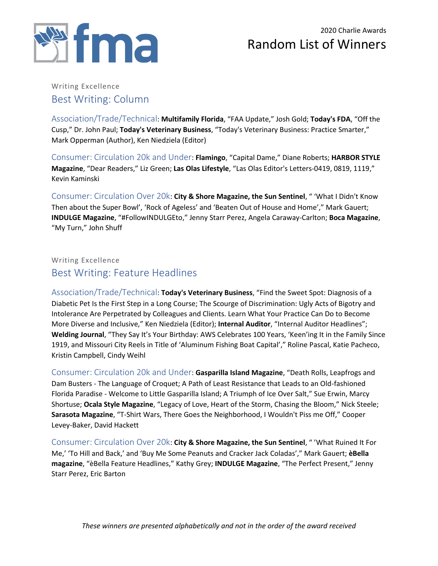

#### Writing Excellence Best Writing: Column

Association/Trade/Technical: **Multifamily Florida**, "FAA Update," Josh Gold; **Today's FDA**, "Off the Cusp," Dr. John Paul; **Today's Veterinary Business**, "Today's Veterinary Business: Practice Smarter," Mark Opperman (Author), Ken Niedziela (Editor)

Consumer: Circulation 20k and Under: **Flamingo**, "Capital Dame," Diane Roberts; **HARBOR STYLE Magazine**, "Dear Readers," Liz Green; **Las Olas Lifestyle**, "Las Olas Editor's Letters-0419, 0819, 1119," Kevin Kaminski

Consumer: Circulation Over 20k: **City & Shore Magazine, the Sun Sentinel**, " 'What I Didn't Know Then about the Super Bowl', 'Rock of Ageless' and 'Beaten Out of House and Home'," Mark Gauert; **INDULGE Magazine**, "#FollowINDULGEto," Jenny Starr Perez, Angela Caraway-Carlton; **Boca Magazine**, "My Turn," John Shuff

### Writing Excellence Best Writing: Feature Headlines

Association/Trade/Technical: **Today's Veterinary Business**, "Find the Sweet Spot: Diagnosis of a Diabetic Pet Is the First Step in a Long Course; The Scourge of Discrimination: Ugly Acts of Bigotry and Intolerance Are Perpetrated by Colleagues and Clients. Learn What Your Practice Can Do to Become More Diverse and Inclusive," Ken Niedziela (Editor); **Internal Auditor**, "Internal Auditor Headlines"; **Welding Journal**, "They Say It's Your Birthday: AWS Celebrates 100 Years, 'Keen'ing It in the Family Since 1919, and Missouri City Reels in Title of 'Aluminum Fishing Boat Capital'," Roline Pascal, Katie Pacheco, Kristin Campbell, Cindy Weihl

Consumer: Circulation 20k and Under: **Gasparilla Island Magazine**, "Death Rolls, Leapfrogs and Dam Busters - The Language of Croquet; A Path of Least Resistance that Leads to an Old-fashioned Florida Paradise - Welcome to Little Gasparilla Island; A Triumph of Ice Over Salt," Sue Erwin, Marcy Shortuse; **Ocala Style Magazine**, "Legacy of Love, Heart of the Storm, Chasing the Bloom," Nick Steele; **Sarasota Magazine**, "T-Shirt Wars, There Goes the Neighborhood, I Wouldn't Piss me Off," Cooper Levey-Baker, David Hackett

Consumer: Circulation Over 20k: **City & Shore Magazine, the Sun Sentinel**, " 'What Ruined It For Me,' 'To Hill and Back,' and 'Buy Me Some Peanuts and Cracker Jack Coladas'," Mark Gauert; **èBella magazine**, "èBella Feature Headlines," Kathy Grey; **INDULGE Magazine**, "The Perfect Present," Jenny Starr Perez, Eric Barton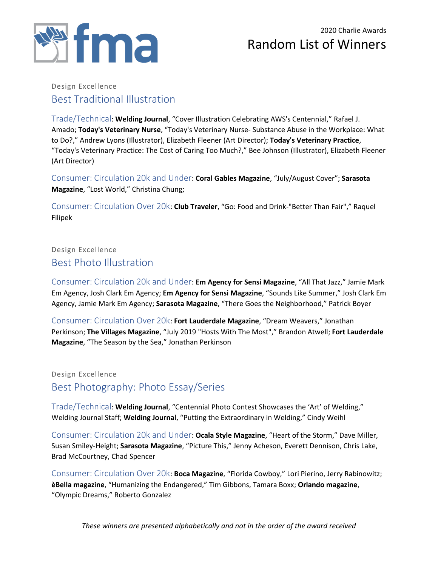

#### Design Excellence Best Traditional Illustration

Trade/Technical: **Welding Journal**, "Cover Illustration Celebrating AWS's Centennial," Rafael J. Amado; **Today's Veterinary Nurse**, "Today's Veterinary Nurse- Substance Abuse in the Workplace: What to Do?," Andrew Lyons (Illustrator), Elizabeth Fleener (Art Director); **Today's Veterinary Practice**, "Today's Veterinary Practice: The Cost of Caring Too Much?," Bee Johnson (Illustrator), Elizabeth Fleener (Art Director)

Consumer: Circulation 20k and Under: **Coral Gables Magazine**, "July/August Cover"; **Sarasota Magazine**, "Lost World," Christina Chung;

Consumer: Circulation Over 20k: **Club Traveler**, "Go: Food and Drink-"Better Than Fair"," Raquel Filipek

### Design Excellence Best Photo Illustration

Consumer: Circulation 20k and Under: **Em Agency for Sensi Magazine**, "All That Jazz," Jamie Mark Em Agency, Josh Clark Em Agency; **Em Agency for Sensi Magazine**, "Sounds Like Summer," Josh Clark Em Agency, Jamie Mark Em Agency; **Sarasota Magazine**, "There Goes the Neighborhood," Patrick Boyer

Consumer: Circulation Over 20k: **Fort Lauderdale Magazine**, "Dream Weavers," Jonathan Perkinson; **The Villages Magazine**, "July 2019 "Hosts With The Most"," Brandon Atwell; **Fort Lauderdale Magazine**, "The Season by the Sea," Jonathan Perkinson

### Design Excellence Best Photography: Photo Essay/Series

Trade/Technical: **Welding Journal**, "Centennial Photo Contest Showcases the 'Art' of Welding," Welding Journal Staff; **Welding Journal**, "Putting the Extraordinary in Welding," Cindy Weihl

Consumer: Circulation 20k and Under: **Ocala Style Magazine**, "Heart of the Storm," Dave Miller, Susan Smiley-Height; **Sarasota Magazine**, "Picture This," Jenny Acheson, Everett Dennison, Chris Lake, Brad McCourtney, Chad Spencer

Consumer: Circulation Over 20k: **Boca Magazine**, "Florida Cowboy," Lori Pierino, Jerry Rabinowitz; **èBella magazine**, "Humanizing the Endangered," Tim Gibbons, Tamara Boxx; **Orlando magazine**, "Olympic Dreams," Roberto Gonzalez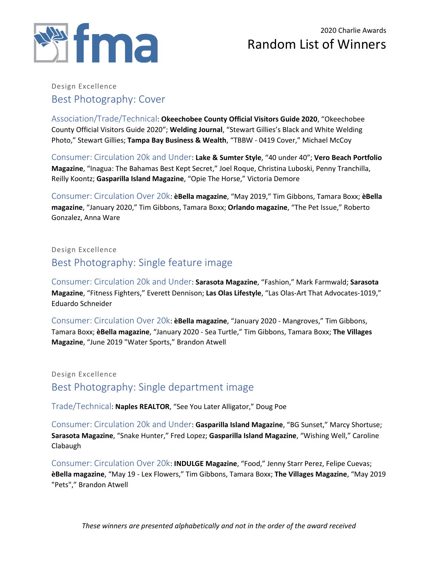

#### Design Excellence Best Photography: Cover

Association/Trade/Technical: **Okeechobee County Official Visitors Guide 2020**, "Okeechobee County Official Visitors Guide 2020"; **Welding Journal**, "Stewart Gillies's Black and White Welding Photo," Stewart Gillies; **Tampa Bay Business & Wealth**, "TBBW - 0419 Cover," Michael McCoy

Consumer: Circulation 20k and Under: **Lake & Sumter Style**, "40 under 40"; **Vero Beach Portfolio Magazine**, "Inagua: The Bahamas Best Kept Secret," Joel Roque, Christina Luboski, Penny Tranchilla, Reilly Koontz; **Gasparilla Island Magazine**, "Opie The Horse," Victoria Demore

Consumer: Circulation Over 20k: **èBella magazine**, "May 2019," Tim Gibbons, Tamara Boxx; **èBella magazine**, "January 2020," Tim Gibbons, Tamara Boxx; **Orlando magazine**, "The Pet Issue," Roberto Gonzalez, Anna Ware

### Design Excellence Best Photography: Single feature image

Consumer: Circulation 20k and Under: **Sarasota Magazine**, "Fashion," Mark Farmwald; **Sarasota Magazine**, "Fitness Fighters," Everett Dennison; **Las Olas Lifestyle**, "Las Olas-Art That Advocates-1019," Eduardo Schneider

Consumer: Circulation Over 20k: **èBella magazine**, "January 2020 - Mangroves," Tim Gibbons, Tamara Boxx; **èBella magazine**, "January 2020 - Sea Turtle," Tim Gibbons, Tamara Boxx; **The Villages Magazine**, "June 2019 "Water Sports," Brandon Atwell

Design Excellence Best Photography: Single department image

Trade/Technical: **Naples REALTOR**, "See You Later Alligator," Doug Poe

Consumer: Circulation 20k and Under: **Gasparilla Island Magazine**, "BG Sunset," Marcy Shortuse; **Sarasota Magazine**, "Snake Hunter," Fred Lopez; **Gasparilla Island Magazine**, "Wishing Well," Caroline Clabaugh

Consumer: Circulation Over 20k: **INDULGE Magazine**, "Food," Jenny Starr Perez, Felipe Cuevas; **èBella magazine**, "May 19 - Lex Flowers," Tim Gibbons, Tamara Boxx; **The Villages Magazine**, "May 2019 "Pets"," Brandon Atwell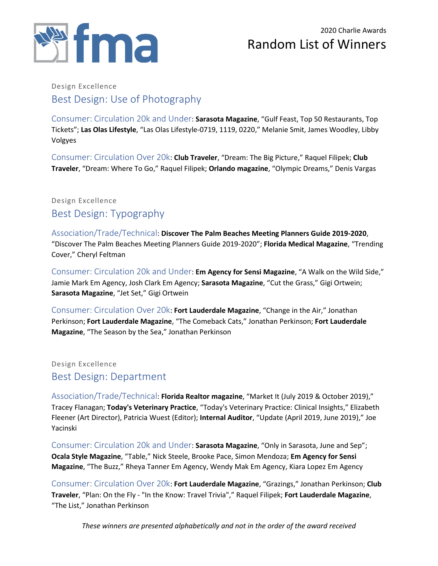

### Design Excellence Best Design: Use of Photography

Consumer: Circulation 20k and Under: **Sarasota Magazine**, "Gulf Feast, Top 50 Restaurants, Top Tickets"; **Las Olas Lifestyle**, "Las Olas Lifestyle-0719, 1119, 0220," Melanie Smit, James Woodley, Libby Volgyes

Consumer: Circulation Over 20k: **Club Traveler**, "Dream: The Big Picture," Raquel Filipek; **Club Traveler**, "Dream: Where To Go," Raquel Filipek; **Orlando magazine**, "Olympic Dreams," Denis Vargas

### Design Excellence Best Design: Typography

Association/Trade/Technical: **Discover The Palm Beaches Meeting Planners Guide 2019-2020**, "Discover The Palm Beaches Meeting Planners Guide 2019-2020"; **Florida Medical Magazine**, "Trending Cover," Cheryl Feltman

Consumer: Circulation 20k and Under: **Em Agency for Sensi Magazine**, "A Walk on the Wild Side," Jamie Mark Em Agency, Josh Clark Em Agency; **Sarasota Magazine**, "Cut the Grass," Gigi Ortwein; **Sarasota Magazine**, "Jet Set," Gigi Ortwein

Consumer: Circulation Over 20k: **Fort Lauderdale Magazine**, "Change in the Air," Jonathan Perkinson; **Fort Lauderdale Magazine**, "The Comeback Cats," Jonathan Perkinson; **Fort Lauderdale Magazine**, "The Season by the Sea," Jonathan Perkinson

#### Design Excellence Best Design: Department

Association/Trade/Technical: **Florida Realtor magazine**, "Market It (July 2019 & October 2019)," Tracey Flanagan; **Today's Veterinary Practice**, "Today's Veterinary Practice: Clinical Insights," Elizabeth Fleener (Art Director), Patricia Wuest (Editor); **Internal Auditor**, "Update (April 2019, June 2019)," Joe Yacinski

Consumer: Circulation 20k and Under: **Sarasota Magazine**, "Only in Sarasota, June and Sep"; **Ocala Style Magazine**, "Table," Nick Steele, Brooke Pace, Simon Mendoza; **Em Agency for Sensi Magazine**, "The Buzz," Rheya Tanner Em Agency, Wendy Mak Em Agency, Kiara Lopez Em Agency

Consumer: Circulation Over 20k: **Fort Lauderdale Magazine**, "Grazings," Jonathan Perkinson; **Club Traveler**, "Plan: On the Fly - "In the Know: Travel Trivia"," Raquel Filipek; **Fort Lauderdale Magazine**, "The List," Jonathan Perkinson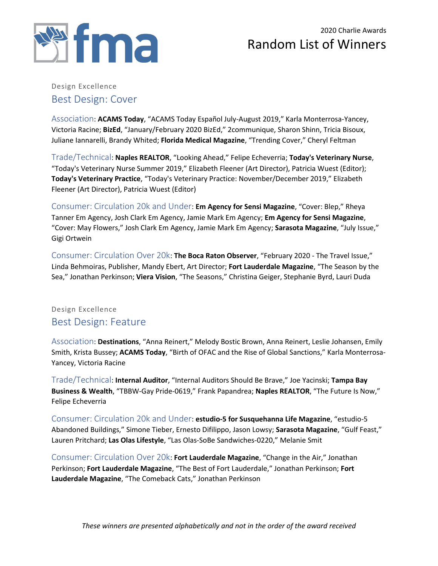

#### Design Excellence Best Design: Cover

Association: **ACAMS Today**, "ACAMS Today Español July-August 2019," Karla Monterrosa-Yancey, Victoria Racine; **BizEd**, "January/February 2020 BizEd," 2communique, Sharon Shinn, Tricia Bisoux, Juliane Iannarelli, Brandy Whited; **Florida Medical Magazine**, "Trending Cover," Cheryl Feltman

Trade/Technical: **Naples REALTOR**, "Looking Ahead," Felipe Echeverria; **Today's Veterinary Nurse**, "Today's Veterinary Nurse Summer 2019," Elizabeth Fleener (Art Director), Patricia Wuest (Editor); **Today's Veterinary Practice**, "Today's Veterinary Practice: November/December 2019," Elizabeth Fleener (Art Director), Patricia Wuest (Editor)

Consumer: Circulation 20k and Under: **Em Agency for Sensi Magazine**, "Cover: Blep," Rheya Tanner Em Agency, Josh Clark Em Agency, Jamie Mark Em Agency; **Em Agency for Sensi Magazine**, "Cover: May Flowers," Josh Clark Em Agency, Jamie Mark Em Agency; **Sarasota Magazine**, "July Issue," Gigi Ortwein

Consumer: Circulation Over 20k: **The Boca Raton Observer**, "February 2020 - The Travel Issue," Linda Behmoiras, Publisher, Mandy Ebert, Art Director; **Fort Lauderdale Magazine**, "The Season by the Sea," Jonathan Perkinson; **Viera Vision**, "The Seasons," Christina Geiger, Stephanie Byrd, Lauri Duda

#### Design Excellence Best Design: Feature

Association: **Destinations**, "Anna Reinert," Melody Bostic Brown, Anna Reinert, Leslie Johansen, Emily Smith, Krista Bussey; **ACAMS Today**, "Birth of OFAC and the Rise of Global Sanctions," Karla Monterrosa-Yancey, Victoria Racine

Trade/Technical: **Internal Auditor**, "Internal Auditors Should Be Brave," Joe Yacinski; **Tampa Bay Business & Wealth**, "TBBW-Gay Pride-0619," Frank Papandrea; **Naples REALTOR**, "The Future Is Now," Felipe Echeverria

Consumer: Circulation 20k and Under: **estudio-5 for Susquehanna Life Magazine**, "estudio-5 Abandoned Buildings," Simone Tieber, Ernesto Difilippo, Jason Lowsy; **Sarasota Magazine**, "Gulf Feast," Lauren Pritchard; **Las Olas Lifestyle**, "Las Olas-SoBe Sandwiches-0220," Melanie Smit

Consumer: Circulation Over 20k: **Fort Lauderdale Magazine**, "Change in the Air," Jonathan Perkinson; **Fort Lauderdale Magazine**, "The Best of Fort Lauderdale," Jonathan Perkinson; **Fort Lauderdale Magazine**, "The Comeback Cats," Jonathan Perkinson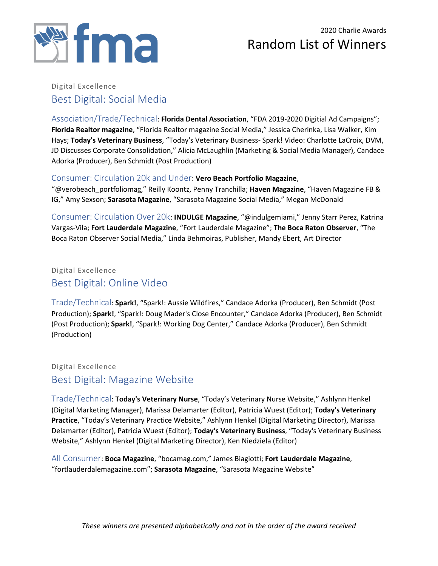

#### Digital Excellence Best Digital: Social Media

Association/Trade/Technical: **Florida Dental Association**, "FDA 2019-2020 Digitial Ad Campaigns"; **Florida Realtor magazine**, "Florida Realtor magazine Social Media," Jessica Cherinka, Lisa Walker, Kim Hays; **Today's Veterinary Business**, "Today's Veterinary Business- Spark! Video: Charlotte LaCroix, DVM, JD Discusses Corporate Consolidation," Alicia McLaughlin (Marketing & Social Media Manager), Candace Adorka (Producer), Ben Schmidt (Post Production)

#### Consumer: Circulation 20k and Under: **Vero Beach Portfolio Magazine**,

"@verobeach\_portfoliomag," Reilly Koontz, Penny Tranchilla; **Haven Magazine**, "Haven Magazine FB & IG," Amy Sexson; **Sarasota Magazine**, "Sarasota Magazine Social Media," Megan McDonald

Consumer: Circulation Over 20k: **INDULGE Magazine**, "@indulgemiami," Jenny Starr Perez, Katrina Vargas-Vila; **Fort Lauderdale Magazine**, "Fort Lauderdale Magazine"; **The Boca Raton Observer**, "The Boca Raton Observer Social Media," Linda Behmoiras, Publisher, Mandy Ebert, Art Director

Digital Excellence Best Digital: Online Video

Trade/Technical: **Spark!**, "Spark!: Aussie Wildfires," Candace Adorka (Producer), Ben Schmidt (Post Production); **Spark!**, "Spark!: Doug Mader's Close Encounter," Candace Adorka (Producer), Ben Schmidt (Post Production); **Spark!**, "Spark!: Working Dog Center," Candace Adorka (Producer), Ben Schmidt (Production)

Digital Excellence Best Digital: Magazine Website

Trade/Technical: **Today's Veterinary Nurse**, "Today's Veterinary Nurse Website," Ashlynn Henkel (Digital Marketing Manager), Marissa Delamarter (Editor), Patricia Wuest (Editor); **Today's Veterinary Practice**, "Today's Veterinary Practice Website," Ashlynn Henkel (Digital Marketing Director), Marissa Delamarter (Editor), Patricia Wuest (Editor); **Today's Veterinary Business**, "Today's Veterinary Business Website," Ashlynn Henkel (Digital Marketing Director), Ken Niedziela (Editor)

All Consumer: **Boca Magazine**, "bocamag.com," James Biagiotti; **Fort Lauderdale Magazine**, "fortlauderdalemagazine.com"; **Sarasota Magazine**, "Sarasota Magazine Website"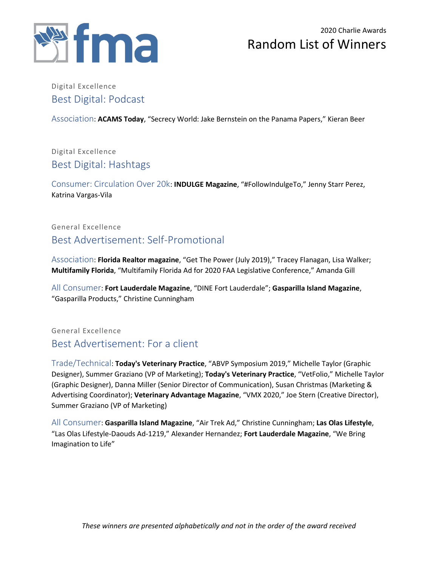

### Digital Excellence Best Digital: Podcast

Association: **ACAMS Today**, "Secrecy World: Jake Bernstein on the Panama Papers," Kieran Beer

### Digital Excellence Best Digital: Hashtags

Consumer: Circulation Over 20k: **INDULGE Magazine**, "#FollowIndulgeTo," Jenny Starr Perez, Katrina Vargas-Vila

### General Excellence Best Advertisement: Self-Promotional

Association: **Florida Realtor magazine**, "Get The Power (July 2019)," Tracey Flanagan, Lisa Walker; **Multifamily Florida**, "Multifamily Florida Ad for 2020 FAA Legislative Conference," Amanda Gill

All Consumer: **Fort Lauderdale Magazine**, "DINE Fort Lauderdale"; **Gasparilla Island Magazine**, "Gasparilla Products," Christine Cunningham

General Excellence Best Advertisement: For a client

Trade/Technical: **Today's Veterinary Practice**, "ABVP Symposium 2019," Michelle Taylor (Graphic Designer), Summer Graziano (VP of Marketing); **Today's Veterinary Practice**, "VetFolio," Michelle Taylor (Graphic Designer), Danna Miller (Senior Director of Communication), Susan Christmas (Marketing & Advertising Coordinator); **Veterinary Advantage Magazine**, "VMX 2020," Joe Stern (Creative Director), Summer Graziano (VP of Marketing)

All Consumer: **Gasparilla Island Magazine**, "Air Trek Ad," Christine Cunningham; **Las Olas Lifestyle**, "Las Olas Lifestyle-Daouds Ad-1219," Alexander Hernandez; **Fort Lauderdale Magazine**, "We Bring Imagination to Life"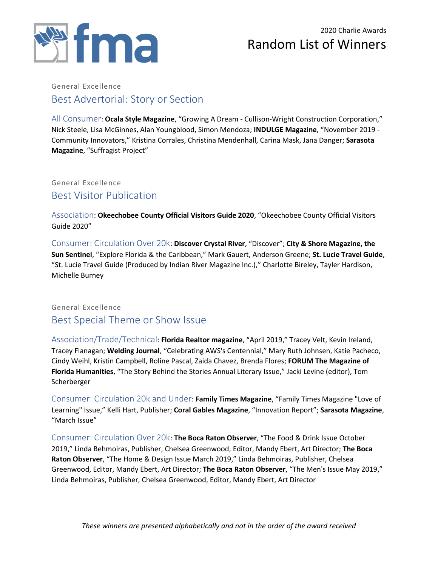

#### General Excellence Best Advertorial: Story or Section

All Consumer: **Ocala Style Magazine**, "Growing A Dream - Cullison-Wright Construction Corporation," Nick Steele, Lisa McGinnes, Alan Youngblood, Simon Mendoza; **INDULGE Magazine**, "November 2019 - Community Innovators," Kristina Corrales, Christina Mendenhall, Carina Mask, Jana Danger; **Sarasota Magazine**, "Suffragist Project"

General Excellence Best Visitor Publication

Association: **Okeechobee County Official Visitors Guide 2020**, "Okeechobee County Official Visitors Guide 2020"

Consumer: Circulation Over 20k: **Discover Crystal River**, "Discover"; **City & Shore Magazine, the Sun Sentinel**, "Explore Florida & the Caribbean," Mark Gauert, Anderson Greene; **St. Lucie Travel Guide**, "St. Lucie Travel Guide (Produced by Indian River Magazine Inc.)," Charlotte Bireley, Tayler Hardison, Michelle Burney

#### General Excellence Best Special Theme or Show Issue

Association/Trade/Technical: **Florida Realtor magazine**, "April 2019," Tracey Velt, Kevin Ireland, Tracey Flanagan; **Welding Journal**, "Celebrating AWS's Centennial," Mary Ruth Johnsen, Katie Pacheco, Cindy Weihl, Kristin Campbell, Roline Pascal, Zaida Chavez, Brenda Flores; **FORUM The Magazine of Florida Humanities**, "The Story Behind the Stories Annual Literary Issue," Jacki Levine (editor), Tom Scherberger

Consumer: Circulation 20k and Under: **Family Times Magazine**, "Family Times Magazine "Love of Learning" Issue," Kelli Hart, Publisher; **Coral Gables Magazine**, "Innovation Report"; **Sarasota Magazine**, "March Issue"

Consumer: Circulation Over 20k: **The Boca Raton Observer**, "The Food & Drink Issue October 2019," Linda Behmoiras, Publisher, Chelsea Greenwood, Editor, Mandy Ebert, Art Director; **The Boca Raton Observer**, "The Home & Design Issue March 2019," Linda Behmoiras, Publisher, Chelsea Greenwood, Editor, Mandy Ebert, Art Director; **The Boca Raton Observer**, "The Men's Issue May 2019," Linda Behmoiras, Publisher, Chelsea Greenwood, Editor, Mandy Ebert, Art Director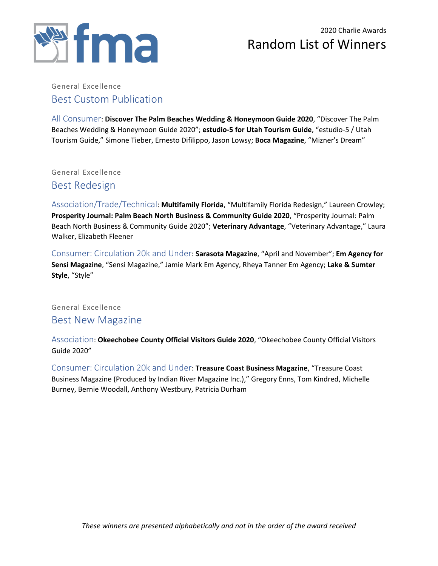

#### General Excellence Best Custom Publication

All Consumer: **Discover The Palm Beaches Wedding & Honeymoon Guide 2020**, "Discover The Palm Beaches Wedding & Honeymoon Guide 2020"; **estudio-5 for Utah Tourism Guide**, "estudio-5 / Utah Tourism Guide," Simone Tieber, Ernesto Difilippo, Jason Lowsy; **Boca Magazine**, "Mizner's Dream"

General Excellence

Best Redesign

Association/Trade/Technical: **Multifamily Florida**, "Multifamily Florida Redesign," Laureen Crowley; **Prosperity Journal: Palm Beach North Business & Community Guide 2020**, "Prosperity Journal: Palm Beach North Business & Community Guide 2020"; **Veterinary Advantage**, "Veterinary Advantage," Laura Walker, Elizabeth Fleener

Consumer: Circulation 20k and Under: **Sarasota Magazine**, "April and November"; **Em Agency for Sensi Magazine**, "Sensi Magazine," Jamie Mark Em Agency, Rheya Tanner Em Agency; **Lake & Sumter Style**, "Style"

General Excellence Best New Magazine

Association: **Okeechobee County Official Visitors Guide 2020**, "Okeechobee County Official Visitors Guide 2020"

Consumer: Circulation 20k and Under: **Treasure Coast Business Magazine**, "Treasure Coast Business Magazine (Produced by Indian River Magazine Inc.)," Gregory Enns, Tom Kindred, Michelle Burney, Bernie Woodall, Anthony Westbury, Patricia Durham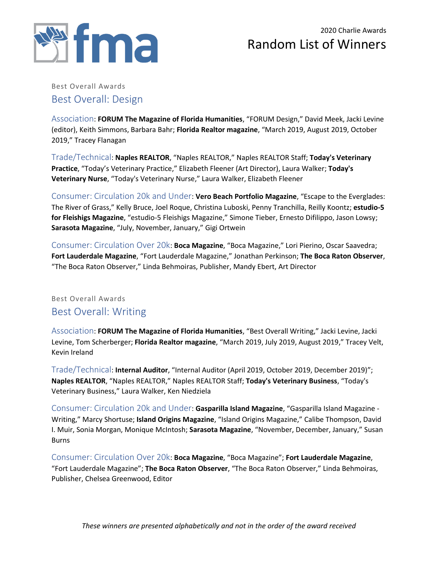

Best Overall Awards Best Overall: Design

Association: **FORUM The Magazine of Florida Humanities**, "FORUM Design," David Meek, Jacki Levine (editor), Keith Simmons, Barbara Bahr; **Florida Realtor magazine**, "March 2019, August 2019, October 2019," Tracey Flanagan

Trade/Technical: **Naples REALTOR**, "Naples REALTOR," Naples REALTOR Staff; **Today's Veterinary Practice**, "Today's Veterinary Practice," Elizabeth Fleener (Art Director), Laura Walker; **Today's Veterinary Nurse**, "Today's Veterinary Nurse," Laura Walker, Elizabeth Fleener

Consumer: Circulation 20k and Under: **Vero Beach Portfolio Magazine**, "Escape to the Everglades: The River of Grass," Kelly Bruce, Joel Roque, Christina Luboski, Penny Tranchilla, Reilly Koontz; **estudio-5 for Fleishigs Magazine**, "estudio-5 Fleishigs Magazine," Simone Tieber, Ernesto Difilippo, Jason Lowsy; **Sarasota Magazine**, "July, November, January," Gigi Ortwein

Consumer: Circulation Over 20k: **Boca Magazine**, "Boca Magazine," Lori Pierino, Oscar Saavedra; **Fort Lauderdale Magazine**, "Fort Lauderdale Magazine," Jonathan Perkinson; **The Boca Raton Observer**, "The Boca Raton Observer," Linda Behmoiras, Publisher, Mandy Ebert, Art Director

#### Best Overall Awards Best Overall: Writing

Association: **FORUM The Magazine of Florida Humanities**, "Best Overall Writing," Jacki Levine, Jacki Levine, Tom Scherberger; **Florida Realtor magazine**, "March 2019, July 2019, August 2019," Tracey Velt, Kevin Ireland

Trade/Technical: **Internal Auditor**, "Internal Auditor (April 2019, October 2019, December 2019)"; **Naples REALTOR**, "Naples REALTOR," Naples REALTOR Staff; **Today's Veterinary Business**, "Today's Veterinary Business," Laura Walker, Ken Niedziela

Consumer: Circulation 20k and Under: **Gasparilla Island Magazine**, "Gasparilla Island Magazine - Writing," Marcy Shortuse; **Island Origins Magazine**, "Island Origins Magazine," Calibe Thompson, David I. Muir, Sonia Morgan, Monique McIntosh; **Sarasota Magazine**, "November, December, January," Susan Burns

Consumer: Circulation Over 20k: **Boca Magazine**, "Boca Magazine"; **Fort Lauderdale Magazine**, "Fort Lauderdale Magazine"; **The Boca Raton Observer**, "The Boca Raton Observer," Linda Behmoiras, Publisher, Chelsea Greenwood, Editor